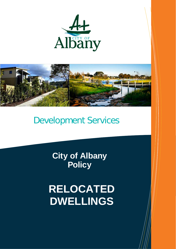



# Development Services

**City of Albany Policy**

**RELOCATED DWELLINGS**